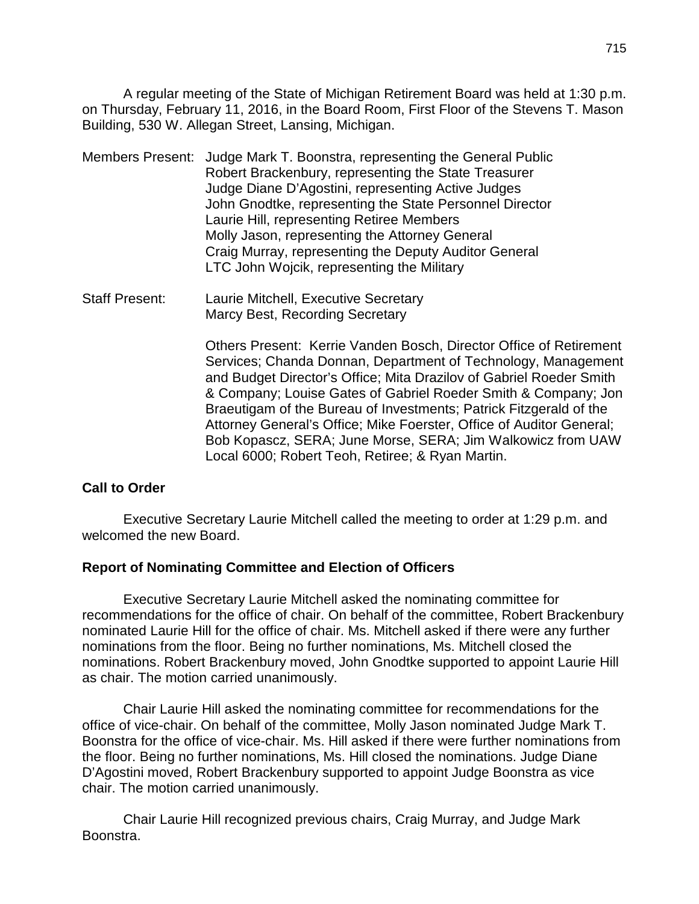A regular meeting of the State of Michigan Retirement Board was held at 1:30 p.m. on Thursday, February 11, 2016, in the Board Room, First Floor of the Stevens T. Mason Building, 530 W. Allegan Street, Lansing, Michigan.

- Members Present: Judge Mark T. Boonstra, representing the General Public Robert Brackenbury, representing the State Treasurer Judge Diane D'Agostini, representing Active Judges John Gnodtke, representing the State Personnel Director Laurie Hill, representing Retiree Members Molly Jason, representing the Attorney General Craig Murray, representing the Deputy Auditor General LTC John Wojcik, representing the Military
- Staff Present: Laurie Mitchell, Executive Secretary Marcy Best, Recording Secretary

Others Present: Kerrie Vanden Bosch, Director Office of Retirement Services; Chanda Donnan, Department of Technology, Management and Budget Director's Office; Mita Drazilov of Gabriel Roeder Smith & Company; Louise Gates of Gabriel Roeder Smith & Company; Jon Braeutigam of the Bureau of Investments; Patrick Fitzgerald of the Attorney General's Office; Mike Foerster, Office of Auditor General; Bob Kopascz, SERA; June Morse, SERA; Jim Walkowicz from UAW Local 6000; Robert Teoh, Retiree; & Ryan Martin.

## **Call to Order**

Executive Secretary Laurie Mitchell called the meeting to order at 1:29 p.m. and welcomed the new Board.

## **Report of Nominating Committee and Election of Officers**

Executive Secretary Laurie Mitchell asked the nominating committee for recommendations for the office of chair. On behalf of the committee, Robert Brackenbury nominated Laurie Hill for the office of chair. Ms. Mitchell asked if there were any further nominations from the floor. Being no further nominations, Ms. Mitchell closed the nominations. Robert Brackenbury moved, John Gnodtke supported to appoint Laurie Hill as chair. The motion carried unanimously.

Chair Laurie Hill asked the nominating committee for recommendations for the office of vice-chair. On behalf of the committee, Molly Jason nominated Judge Mark T. Boonstra for the office of vice-chair. Ms. Hill asked if there were further nominations from the floor. Being no further nominations, Ms. Hill closed the nominations. Judge Diane D'Agostini moved, Robert Brackenbury supported to appoint Judge Boonstra as vice chair. The motion carried unanimously.

Chair Laurie Hill recognized previous chairs, Craig Murray, and Judge Mark Boonstra.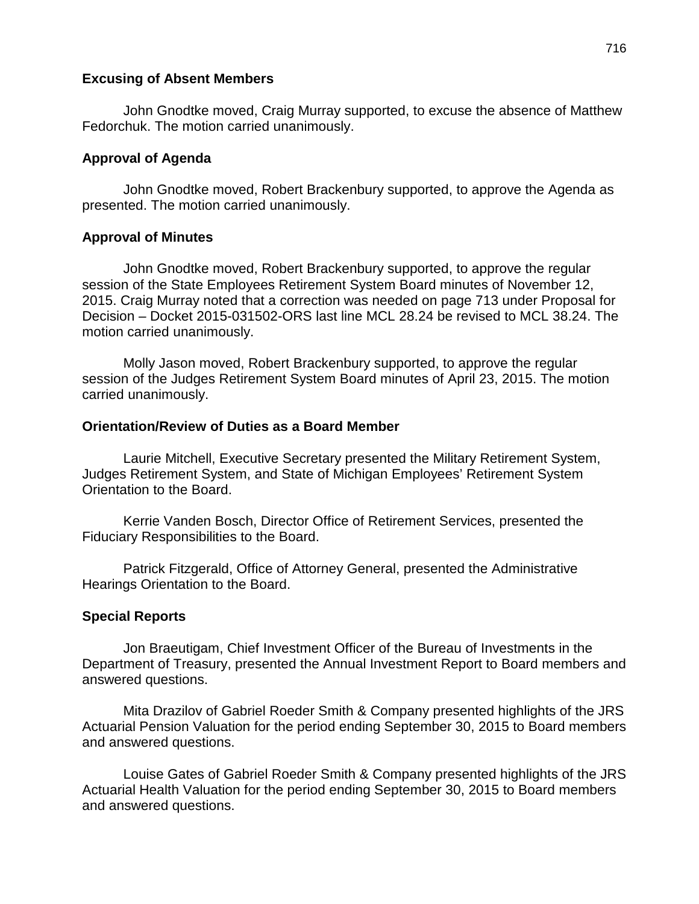### **Excusing of Absent Members**

John Gnodtke moved, Craig Murray supported, to excuse the absence of Matthew Fedorchuk. The motion carried unanimously.

## **Approval of Agenda**

John Gnodtke moved, Robert Brackenbury supported, to approve the Agenda as presented. The motion carried unanimously.

## **Approval of Minutes**

John Gnodtke moved, Robert Brackenbury supported, to approve the regular session of the State Employees Retirement System Board minutes of November 12, 2015. Craig Murray noted that a correction was needed on page 713 under Proposal for Decision – Docket 2015-031502-ORS last line MCL 28.24 be revised to MCL 38.24. The motion carried unanimously.

Molly Jason moved, Robert Brackenbury supported, to approve the regular session of the Judges Retirement System Board minutes of April 23, 2015. The motion carried unanimously.

### **Orientation/Review of Duties as a Board Member**

Laurie Mitchell, Executive Secretary presented the Military Retirement System, Judges Retirement System, and State of Michigan Employees' Retirement System Orientation to the Board.

Kerrie Vanden Bosch, Director Office of Retirement Services, presented the Fiduciary Responsibilities to the Board.

Patrick Fitzgerald, Office of Attorney General, presented the Administrative Hearings Orientation to the Board.

## **Special Reports**

Jon Braeutigam, Chief Investment Officer of the Bureau of Investments in the Department of Treasury, presented the Annual Investment Report to Board members and answered questions.

Mita Drazilov of Gabriel Roeder Smith & Company presented highlights of the JRS Actuarial Pension Valuation for the period ending September 30, 2015 to Board members and answered questions.

Louise Gates of Gabriel Roeder Smith & Company presented highlights of the JRS Actuarial Health Valuation for the period ending September 30, 2015 to Board members and answered questions.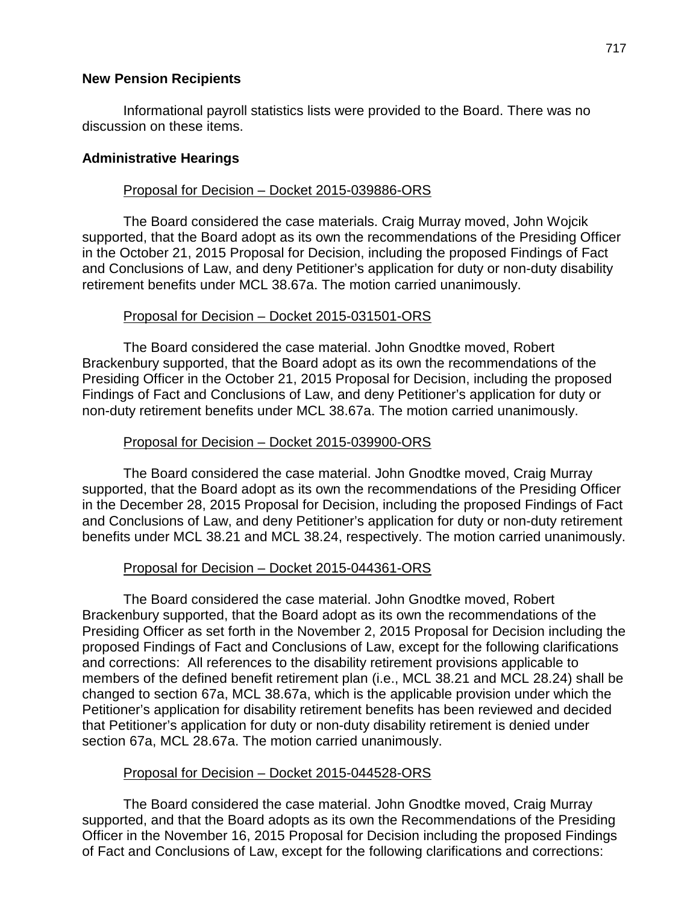## **New Pension Recipients**

Informational payroll statistics lists were provided to the Board. There was no discussion on these items.

### **Administrative Hearings**

### Proposal for Decision – Docket 2015-039886-ORS

The Board considered the case materials. Craig Murray moved, John Wojcik supported, that the Board adopt as its own the recommendations of the Presiding Officer in the October 21, 2015 Proposal for Decision, including the proposed Findings of Fact and Conclusions of Law, and deny Petitioner's application for duty or non-duty disability retirement benefits under MCL 38.67a. The motion carried unanimously.

## Proposal for Decision – Docket 2015-031501-ORS

The Board considered the case material. John Gnodtke moved, Robert Brackenbury supported, that the Board adopt as its own the recommendations of the Presiding Officer in the October 21, 2015 Proposal for Decision, including the proposed Findings of Fact and Conclusions of Law, and deny Petitioner's application for duty or non-duty retirement benefits under MCL 38.67a. The motion carried unanimously.

### Proposal for Decision – Docket 2015-039900-ORS

The Board considered the case material. John Gnodtke moved, Craig Murray supported, that the Board adopt as its own the recommendations of the Presiding Officer in the December 28, 2015 Proposal for Decision, including the proposed Findings of Fact and Conclusions of Law, and deny Petitioner's application for duty or non-duty retirement benefits under MCL 38.21 and MCL 38.24, respectively. The motion carried unanimously.

#### Proposal for Decision – Docket 2015-044361-ORS

The Board considered the case material. John Gnodtke moved, Robert Brackenbury supported, that the Board adopt as its own the recommendations of the Presiding Officer as set forth in the November 2, 2015 Proposal for Decision including the proposed Findings of Fact and Conclusions of Law, except for the following clarifications and corrections: All references to the disability retirement provisions applicable to members of the defined benefit retirement plan (i.e., MCL 38.21 and MCL 28.24) shall be changed to section 67a, MCL 38.67a, which is the applicable provision under which the Petitioner's application for disability retirement benefits has been reviewed and decided that Petitioner's application for duty or non-duty disability retirement is denied under section 67a, MCL 28.67a. The motion carried unanimously.

## Proposal for Decision – Docket 2015-044528-ORS

The Board considered the case material. John Gnodtke moved, Craig Murray supported, and that the Board adopts as its own the Recommendations of the Presiding Officer in the November 16, 2015 Proposal for Decision including the proposed Findings of Fact and Conclusions of Law, except for the following clarifications and corrections: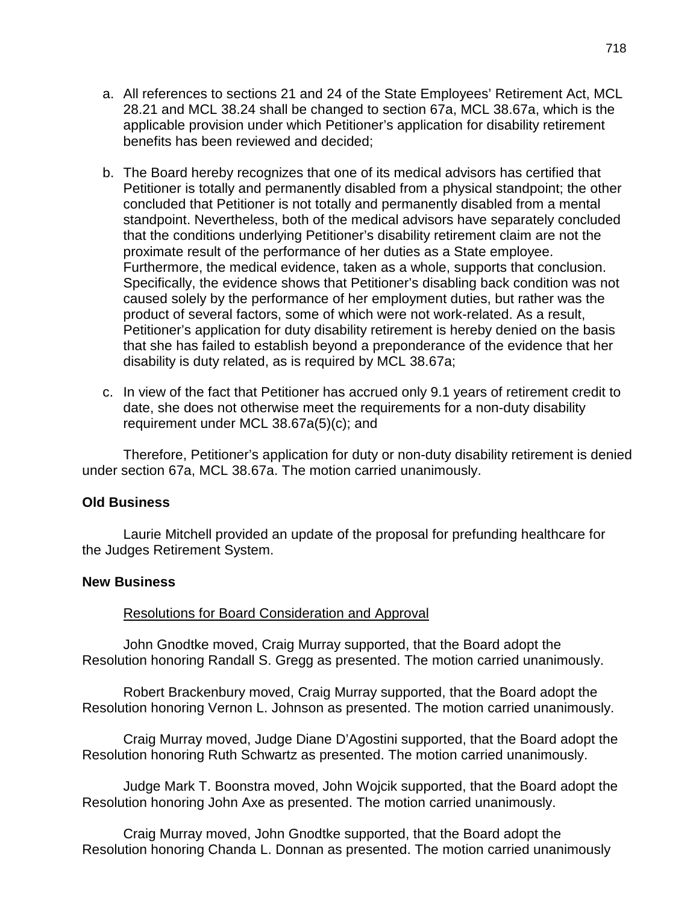- a. All references to sections 21 and 24 of the State Employees' Retirement Act, MCL 28.21 and MCL 38.24 shall be changed to section 67a, MCL 38.67a, which is the applicable provision under which Petitioner's application for disability retirement benefits has been reviewed and decided;
- b. The Board hereby recognizes that one of its medical advisors has certified that Petitioner is totally and permanently disabled from a physical standpoint; the other concluded that Petitioner is not totally and permanently disabled from a mental standpoint. Nevertheless, both of the medical advisors have separately concluded that the conditions underlying Petitioner's disability retirement claim are not the proximate result of the performance of her duties as a State employee. Furthermore, the medical evidence, taken as a whole, supports that conclusion. Specifically, the evidence shows that Petitioner's disabling back condition was not caused solely by the performance of her employment duties, but rather was the product of several factors, some of which were not work-related. As a result, Petitioner's application for duty disability retirement is hereby denied on the basis that she has failed to establish beyond a preponderance of the evidence that her disability is duty related, as is required by MCL 38.67a;
- c. In view of the fact that Petitioner has accrued only 9.1 years of retirement credit to date, she does not otherwise meet the requirements for a non-duty disability requirement under MCL 38.67a(5)(c); and

Therefore, Petitioner's application for duty or non-duty disability retirement is denied under section 67a, MCL 38.67a. The motion carried unanimously.

#### **Old Business**

Laurie Mitchell provided an update of the proposal for prefunding healthcare for the Judges Retirement System.

#### **New Business**

#### Resolutions for Board Consideration and Approval

John Gnodtke moved, Craig Murray supported, that the Board adopt the Resolution honoring Randall S. Gregg as presented. The motion carried unanimously.

Robert Brackenbury moved, Craig Murray supported, that the Board adopt the Resolution honoring Vernon L. Johnson as presented. The motion carried unanimously.

Craig Murray moved, Judge Diane D'Agostini supported, that the Board adopt the Resolution honoring Ruth Schwartz as presented. The motion carried unanimously.

Judge Mark T. Boonstra moved, John Wojcik supported, that the Board adopt the Resolution honoring John Axe as presented. The motion carried unanimously.

Craig Murray moved, John Gnodtke supported, that the Board adopt the Resolution honoring Chanda L. Donnan as presented. The motion carried unanimously